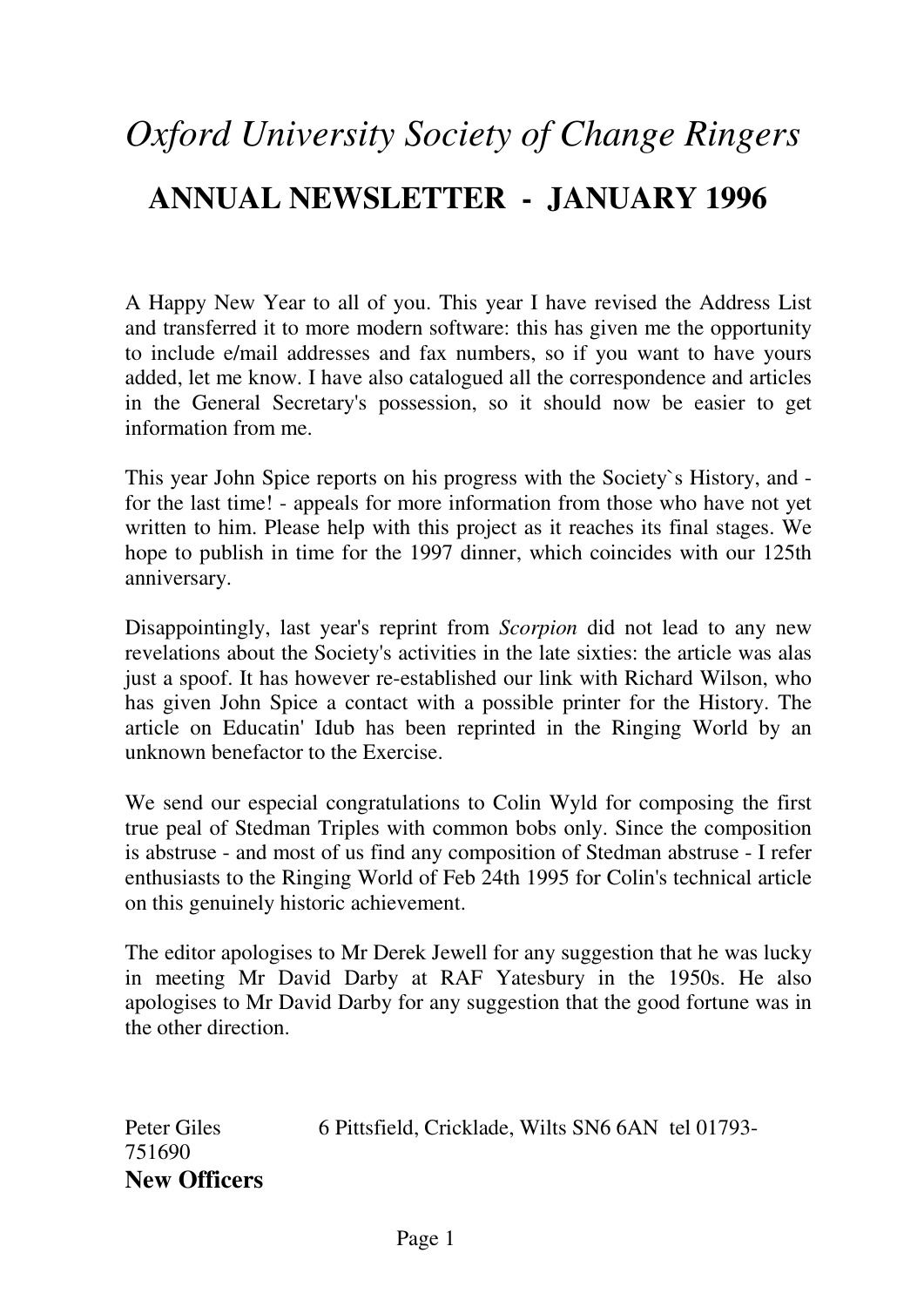# *Oxford University Society of Change Ringers*  **ANNUAL NEWSLETTER - JANUARY 1996**

A Happy New Year to all of you. This year I have revised the Address List and transferred it to more modern software: this has given me the opportunity to include e/mail addresses and fax numbers, so if you want to have yours added, let me know. I have also catalogued all the correspondence and articles in the General Secretary's possession, so it should now be easier to get information from me.

This year John Spice reports on his progress with the Society`s History, and for the last time! - appeals for more information from those who have not yet written to him. Please help with this project as it reaches its final stages. We hope to publish in time for the 1997 dinner, which coincides with our 125th anniversary.

Disappointingly, last year's reprint from *Scorpion* did not lead to any new revelations about the Society's activities in the late sixties: the article was alas just a spoof. It has however re-established our link with Richard Wilson, who has given John Spice a contact with a possible printer for the History. The article on Educatin' Idub has been reprinted in the Ringing World by an unknown benefactor to the Exercise.

We send our especial congratulations to Colin Wyld for composing the first true peal of Stedman Triples with common bobs only. Since the composition is abstruse - and most of us find any composition of Stedman abstruse - I refer enthusiasts to the Ringing World of Feb 24th 1995 for Colin's technical article on this genuinely historic achievement.

The editor apologises to Mr Derek Jewell for any suggestion that he was lucky in meeting Mr David Darby at RAF Yatesbury in the 1950s. He also apologises to Mr David Darby for any suggestion that the good fortune was in the other direction.

Peter Giles 6 Pittsfield, Cricklade, Wilts SN6 6AN tel 01793-751690 **New Officers**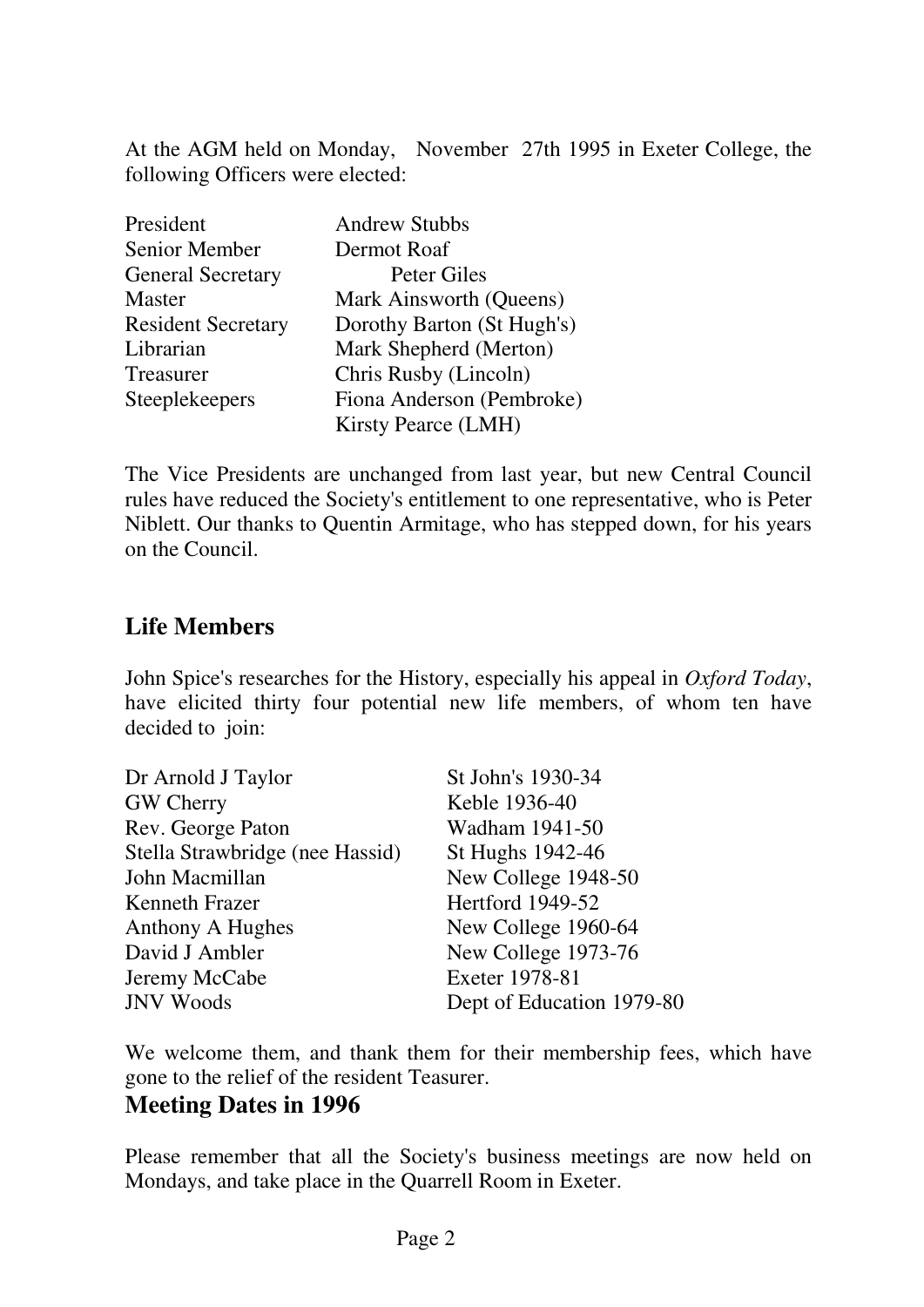At the AGM held on Monday, November 27th 1995 in Exeter College, the following Officers were elected:

| President                 | <b>Andrew Stubbs</b>       |
|---------------------------|----------------------------|
| Senior Member             | Dermot Roaf                |
| <b>General Secretary</b>  | Peter Giles                |
| <b>Master</b>             | Mark Ainsworth (Queens)    |
| <b>Resident Secretary</b> | Dorothy Barton (St Hugh's) |
| Librarian                 | Mark Shepherd (Merton)     |
| Treasurer                 | Chris Rusby (Lincoln)      |
| Steeplekeepers            | Fiona Anderson (Pembroke)  |
|                           | <b>Kirsty Pearce (LMH)</b> |

The Vice Presidents are unchanged from last year, but new Central Council rules have reduced the Society's entitlement to one representative, who is Peter Niblett. Our thanks to Quentin Armitage, who has stepped down, for his years on the Council.

# **Life Members**

John Spice's researches for the History, especially his appeal in *Oxford Today*, have elicited thirty four potential new life members, of whom ten have decided to join:

| Dr Arnold J Taylor              | St John's 1930-34         |
|---------------------------------|---------------------------|
| <b>GW Cherry</b>                | Keble 1936-40             |
| Rev. George Paton               | Wadham 1941-50            |
| Stella Strawbridge (nee Hassid) | St Hughs 1942-46          |
| John Macmillan                  | New College 1948-50       |
| <b>Kenneth Frazer</b>           | Hertford 1949-52          |
| <b>Anthony A Hughes</b>         | New College 1960-64       |
| David J Ambler                  | New College 1973-76       |
| Jeremy McCabe                   | Exeter 1978-81            |
| <b>JNV Woods</b>                | Dept of Education 1979-80 |
|                                 |                           |

We welcome them, and thank them for their membership fees, which have gone to the relief of the resident Teasurer.

## **Meeting Dates in 1996**

Please remember that all the Society's business meetings are now held on Mondays, and take place in the Quarrell Room in Exeter.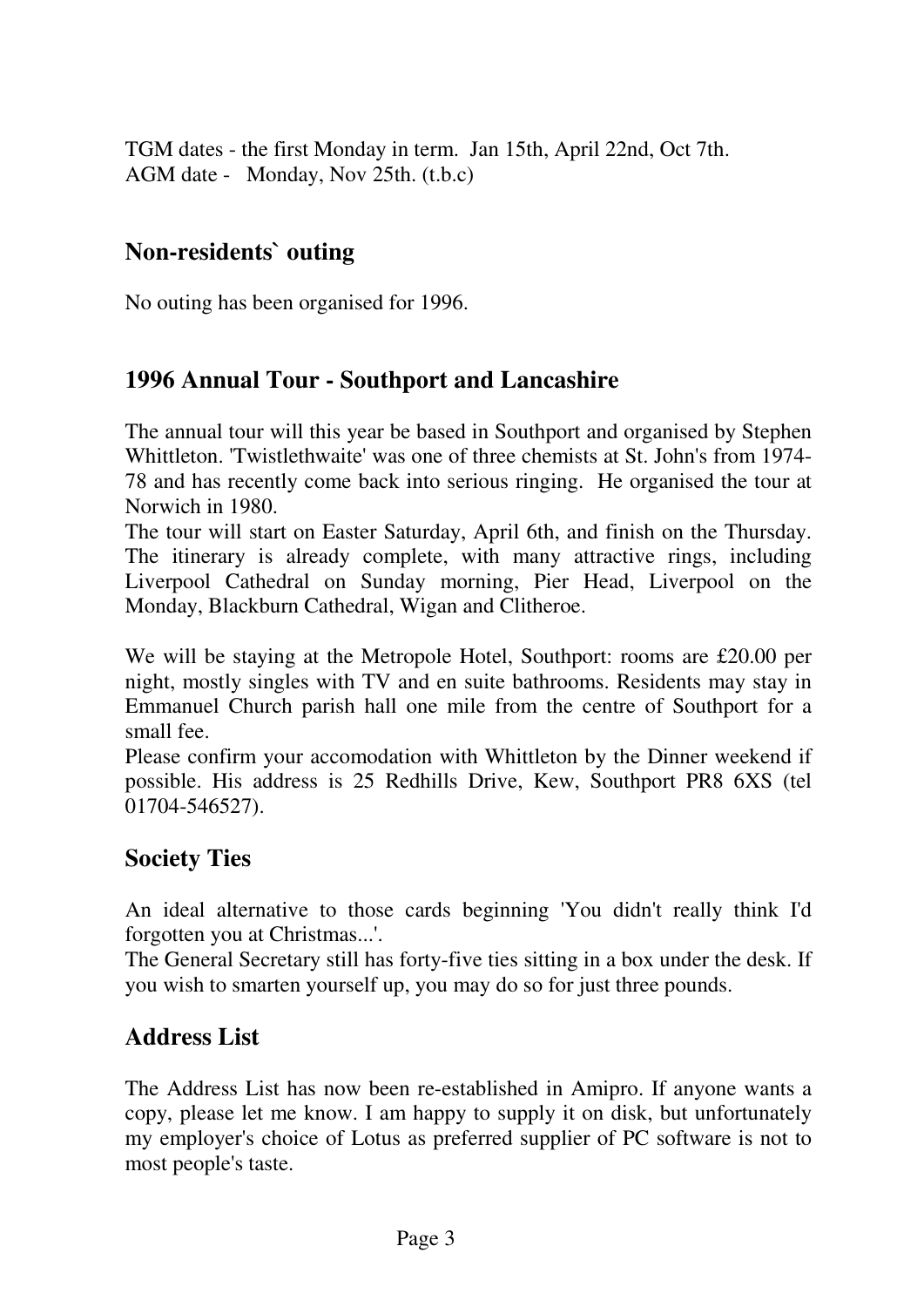TGM dates - the first Monday in term. Jan 15th, April 22nd, Oct 7th. AGM date - Monday, Nov 25th. (t.b.c)

## **Non-residents` outing**

No outing has been organised for 1996.

# **1996 Annual Tour - Southport and Lancashire**

The annual tour will this year be based in Southport and organised by Stephen Whittleton. 'Twistlethwaite' was one of three chemists at St. John's from 1974- 78 and has recently come back into serious ringing. He organised the tour at Norwich in 1980.

The tour will start on Easter Saturday, April 6th, and finish on the Thursday. The itinerary is already complete, with many attractive rings, including Liverpool Cathedral on Sunday morning, Pier Head, Liverpool on the Monday, Blackburn Cathedral, Wigan and Clitheroe.

We will be staying at the Metropole Hotel, Southport: rooms are £20.00 per night, mostly singles with TV and en suite bathrooms. Residents may stay in Emmanuel Church parish hall one mile from the centre of Southport for a small fee.

Please confirm your accomodation with Whittleton by the Dinner weekend if possible. His address is 25 Redhills Drive, Kew, Southport PR8 6XS (tel 01704-546527).

# **Society Ties**

An ideal alternative to those cards beginning 'You didn't really think I'd forgotten you at Christmas...'.

The General Secretary still has forty-five ties sitting in a box under the desk. If you wish to smarten yourself up, you may do so for just three pounds.

## **Address List**

The Address List has now been re-established in Amipro. If anyone wants a copy, please let me know. I am happy to supply it on disk, but unfortunately my employer's choice of Lotus as preferred supplier of PC software is not to most people's taste.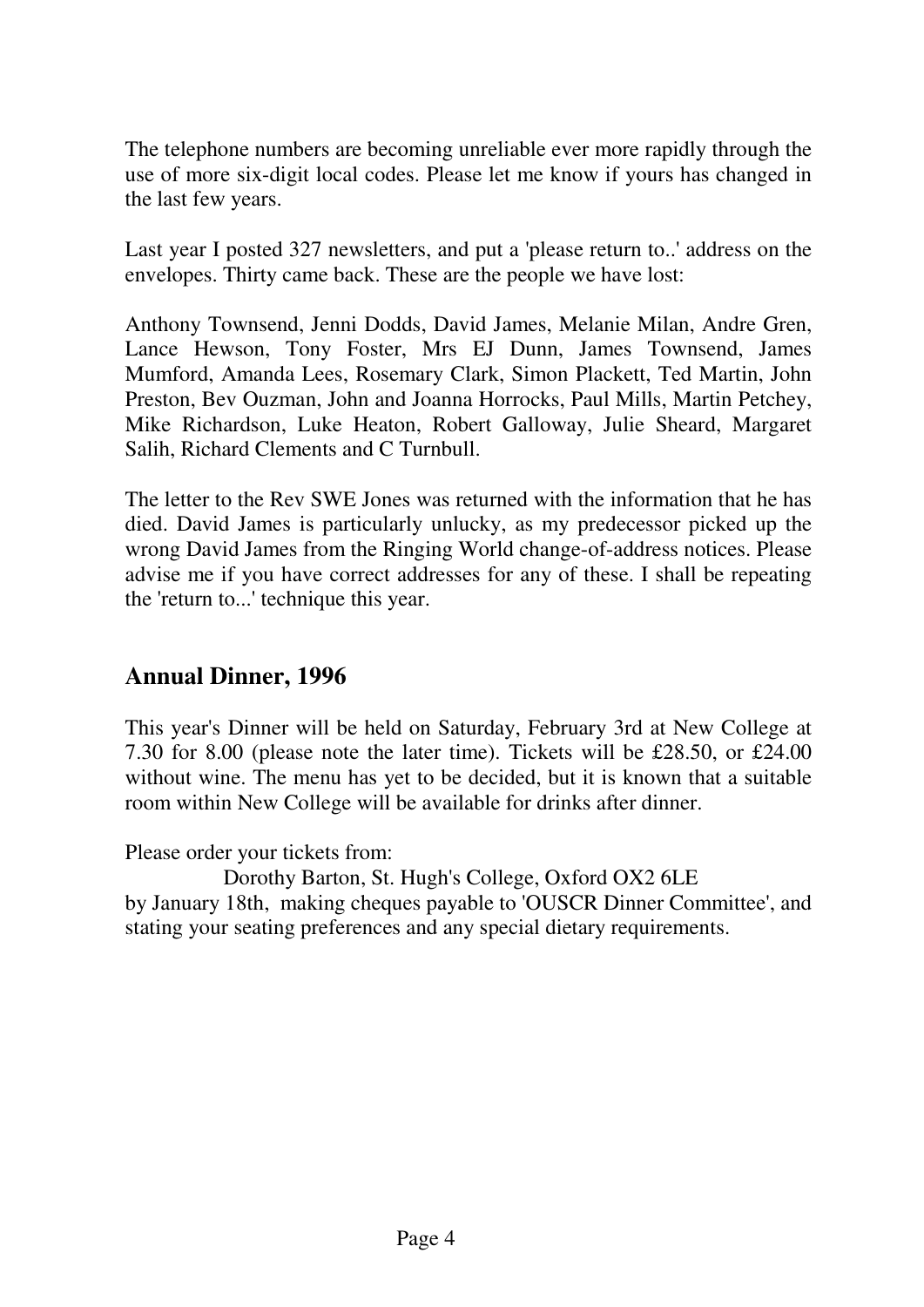The telephone numbers are becoming unreliable ever more rapidly through the use of more six-digit local codes. Please let me know if yours has changed in the last few years.

Last year I posted 327 newsletters, and put a 'please return to..' address on the envelopes. Thirty came back. These are the people we have lost:

Anthony Townsend, Jenni Dodds, David James, Melanie Milan, Andre Gren, Lance Hewson, Tony Foster, Mrs EJ Dunn, James Townsend, James Mumford, Amanda Lees, Rosemary Clark, Simon Plackett, Ted Martin, John Preston, Bev Ouzman, John and Joanna Horrocks, Paul Mills, Martin Petchey, Mike Richardson, Luke Heaton, Robert Galloway, Julie Sheard, Margaret Salih, Richard Clements and C Turnbull.

The letter to the Rev SWE Jones was returned with the information that he has died. David James is particularly unlucky, as my predecessor picked up the wrong David James from the Ringing World change-of-address notices. Please advise me if you have correct addresses for any of these. I shall be repeating the 'return to...' technique this year.

# **Annual Dinner, 1996**

This year's Dinner will be held on Saturday, February 3rd at New College at 7.30 for 8.00 (please note the later time). Tickets will be £28.50, or £24.00 without wine. The menu has yet to be decided, but it is known that a suitable room within New College will be available for drinks after dinner.

Please order your tickets from:

 Dorothy Barton, St. Hugh's College, Oxford OX2 6LE by January 18th, making cheques payable to 'OUSCR Dinner Committee', and stating your seating preferences and any special dietary requirements.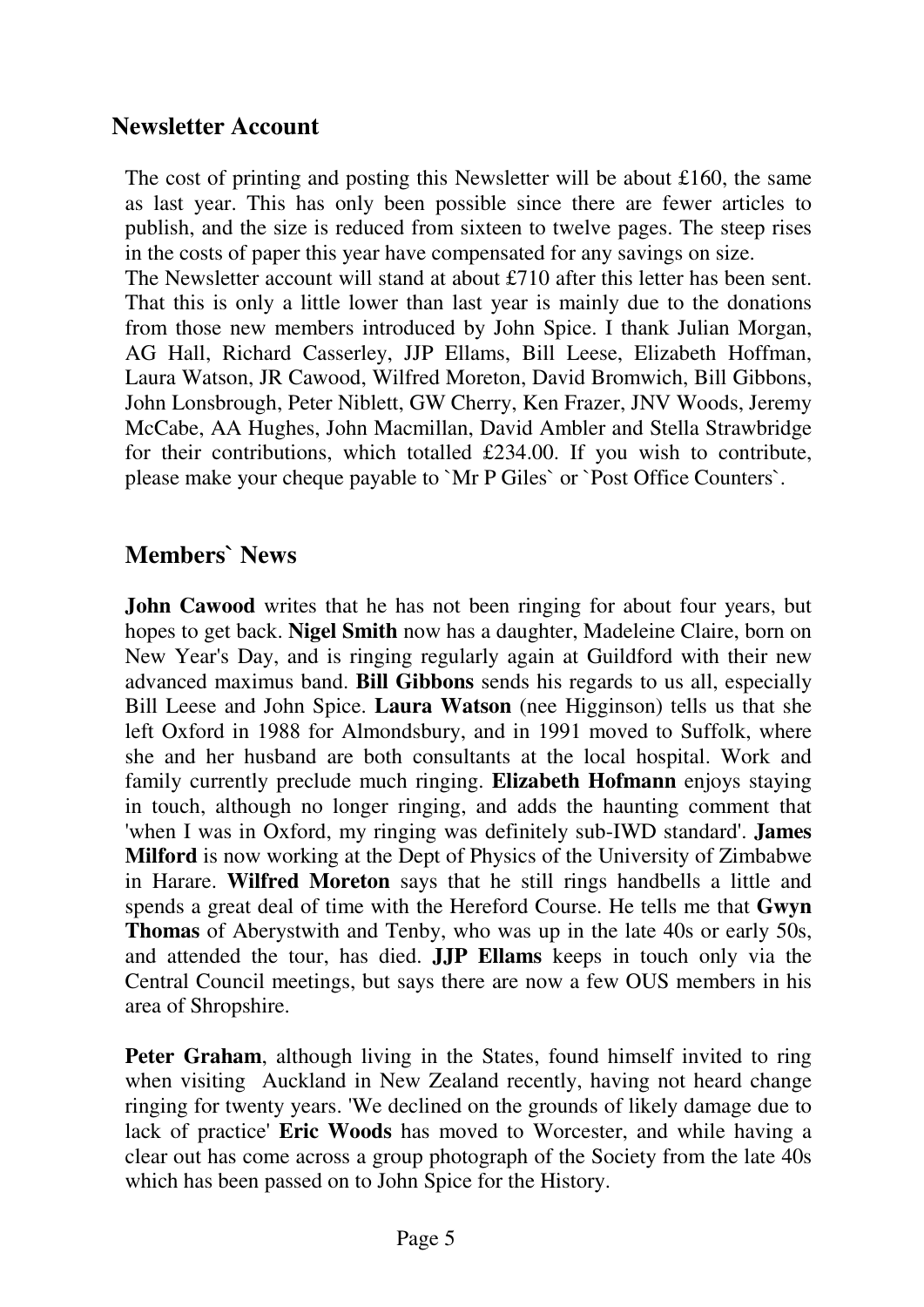## **Newsletter Account**

The cost of printing and posting this Newsletter will be about £160, the same as last year. This has only been possible since there are fewer articles to publish, and the size is reduced from sixteen to twelve pages. The steep rises in the costs of paper this year have compensated for any savings on size. The Newsletter account will stand at about £710 after this letter has been sent. That this is only a little lower than last year is mainly due to the donations from those new members introduced by John Spice. I thank Julian Morgan, AG Hall, Richard Casserley, JJP Ellams, Bill Leese, Elizabeth Hoffman, Laura Watson, JR Cawood, Wilfred Moreton, David Bromwich, Bill Gibbons, John Lonsbrough, Peter Niblett, GW Cherry, Ken Frazer, JNV Woods, Jeremy McCabe, AA Hughes, John Macmillan, David Ambler and Stella Strawbridge for their contributions, which totalled £234.00. If you wish to contribute, please make your cheque payable to `Mr P Giles` or `Post Office Counters`.

## **Members` News**

**John Cawood** writes that he has not been ringing for about four years, but hopes to get back. **Nigel Smith** now has a daughter, Madeleine Claire, born on New Year's Day, and is ringing regularly again at Guildford with their new advanced maximus band. **Bill Gibbons** sends his regards to us all, especially Bill Leese and John Spice. **Laura Watson** (nee Higginson) tells us that she left Oxford in 1988 for Almondsbury, and in 1991 moved to Suffolk, where she and her husband are both consultants at the local hospital. Work and family currently preclude much ringing. **Elizabeth Hofmann** enjoys staying in touch, although no longer ringing, and adds the haunting comment that 'when I was in Oxford, my ringing was definitely sub-IWD standard'. **James Milford** is now working at the Dept of Physics of the University of Zimbabwe in Harare. **Wilfred Moreton** says that he still rings handbells a little and spends a great deal of time with the Hereford Course. He tells me that **Gwyn Thomas** of Aberystwith and Tenby, who was up in the late 40s or early 50s, and attended the tour, has died. **JJP Ellams** keeps in touch only via the Central Council meetings, but says there are now a few OUS members in his area of Shropshire.

**Peter Graham**, although living in the States, found himself invited to ring when visiting Auckland in New Zealand recently, having not heard change ringing for twenty years. 'We declined on the grounds of likely damage due to lack of practice' **Eric Woods** has moved to Worcester, and while having a clear out has come across a group photograph of the Society from the late 40s which has been passed on to John Spice for the History.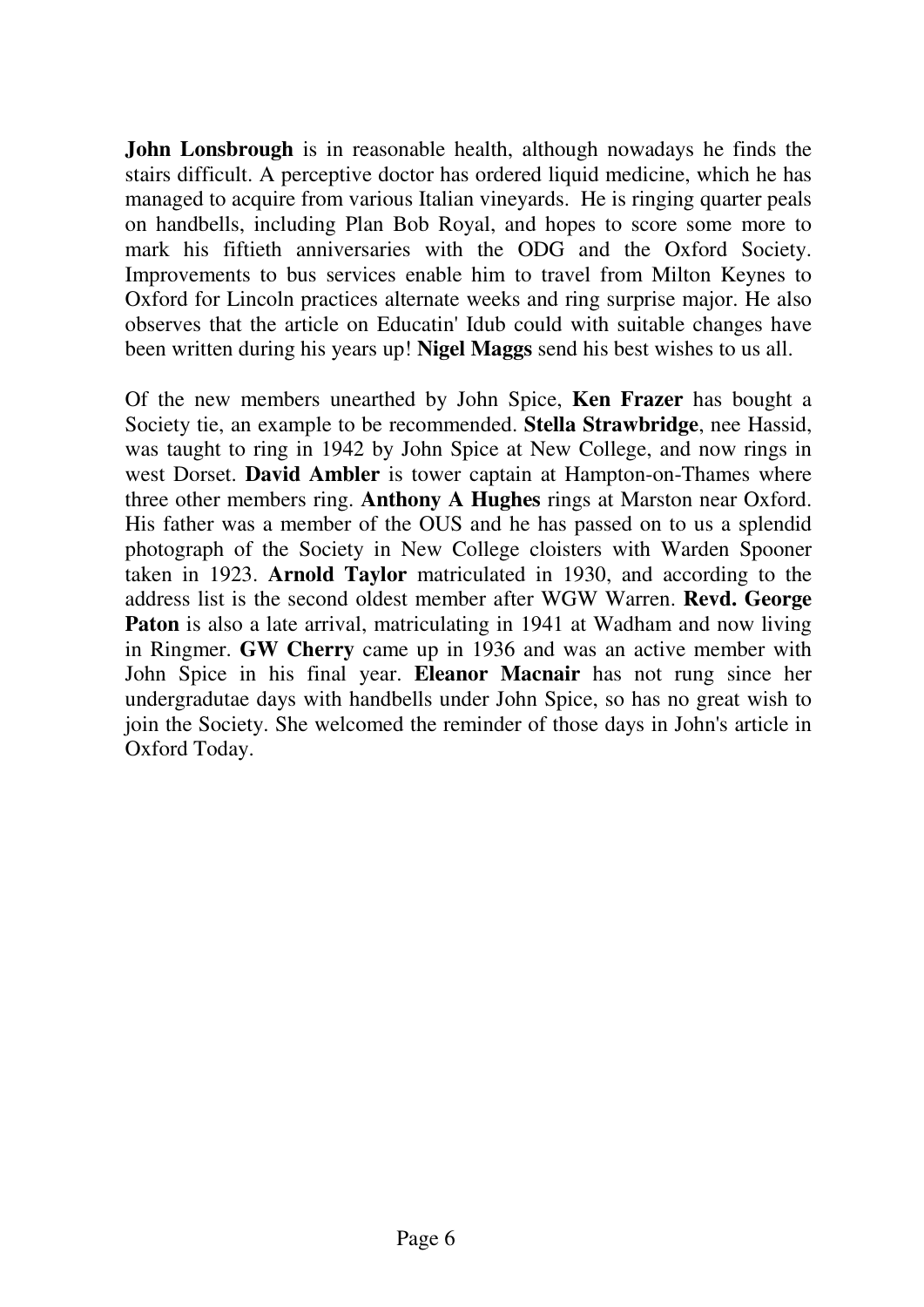**John Lonsbrough** is in reasonable health, although nowadays he finds the stairs difficult. A perceptive doctor has ordered liquid medicine, which he has managed to acquire from various Italian vineyards. He is ringing quarter peals on handbells, including Plan Bob Royal, and hopes to score some more to mark his fiftieth anniversaries with the ODG and the Oxford Society. Improvements to bus services enable him to travel from Milton Keynes to Oxford for Lincoln practices alternate weeks and ring surprise major. He also observes that the article on Educatin' Idub could with suitable changes have been written during his years up! **Nigel Maggs** send his best wishes to us all.

Of the new members unearthed by John Spice, **Ken Frazer** has bought a Society tie, an example to be recommended. **Stella Strawbridge**, nee Hassid, was taught to ring in 1942 by John Spice at New College, and now rings in west Dorset. **David Ambler** is tower captain at Hampton-on-Thames where three other members ring. **Anthony A Hughes** rings at Marston near Oxford. His father was a member of the OUS and he has passed on to us a splendid photograph of the Society in New College cloisters with Warden Spooner taken in 1923. **Arnold Taylor** matriculated in 1930, and according to the address list is the second oldest member after WGW Warren. **Revd. George Paton** is also a late arrival, matriculating in 1941 at Wadham and now living in Ringmer. **GW Cherry** came up in 1936 and was an active member with John Spice in his final year. **Eleanor Macnair** has not rung since her undergradutae days with handbells under John Spice, so has no great wish to join the Society. She welcomed the reminder of those days in John's article in Oxford Today.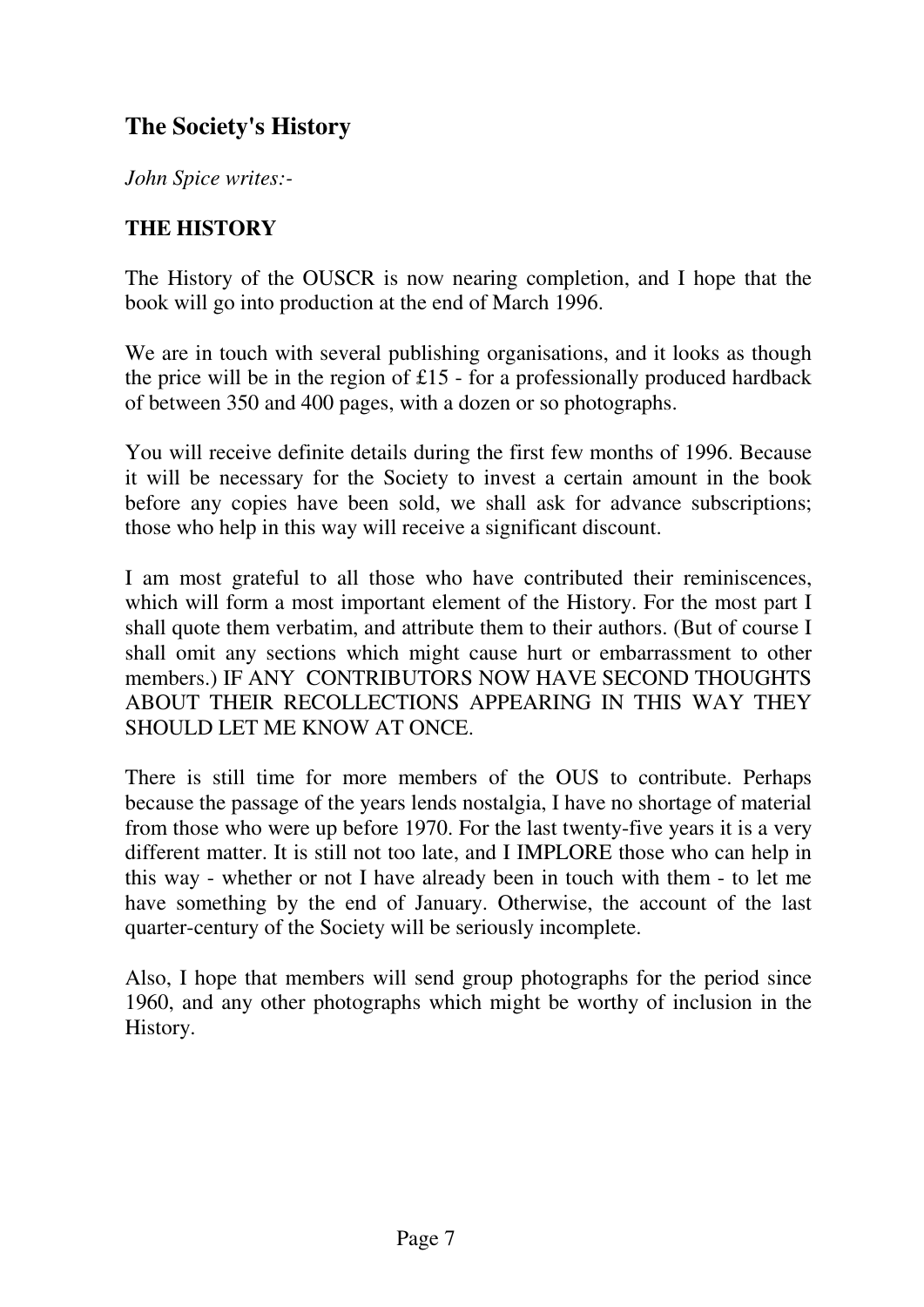# **The Society's History**

*John Spice writes:-*

## **THE HISTORY**

The History of the OUSCR is now nearing completion, and I hope that the book will go into production at the end of March 1996.

We are in touch with several publishing organisations, and it looks as though the price will be in the region of  $£15$  - for a professionally produced hardback of between 350 and 400 pages, with a dozen or so photographs.

You will receive definite details during the first few months of 1996. Because it will be necessary for the Society to invest a certain amount in the book before any copies have been sold, we shall ask for advance subscriptions; those who help in this way will receive a significant discount.

I am most grateful to all those who have contributed their reminiscences, which will form a most important element of the History. For the most part I shall quote them verbatim, and attribute them to their authors. (But of course I shall omit any sections which might cause hurt or embarrassment to other members.) IF ANY CONTRIBUTORS NOW HAVE SECOND THOUGHTS ABOUT THEIR RECOLLECTIONS APPEARING IN THIS WAY THEY SHOULD LET ME KNOW AT ONCE.

There is still time for more members of the OUS to contribute. Perhaps because the passage of the years lends nostalgia, I have no shortage of material from those who were up before 1970. For the last twenty-five years it is a very different matter. It is still not too late, and I IMPLORE those who can help in this way - whether or not I have already been in touch with them - to let me have something by the end of January. Otherwise, the account of the last quarter-century of the Society will be seriously incomplete.

Also, I hope that members will send group photographs for the period since 1960, and any other photographs which might be worthy of inclusion in the History.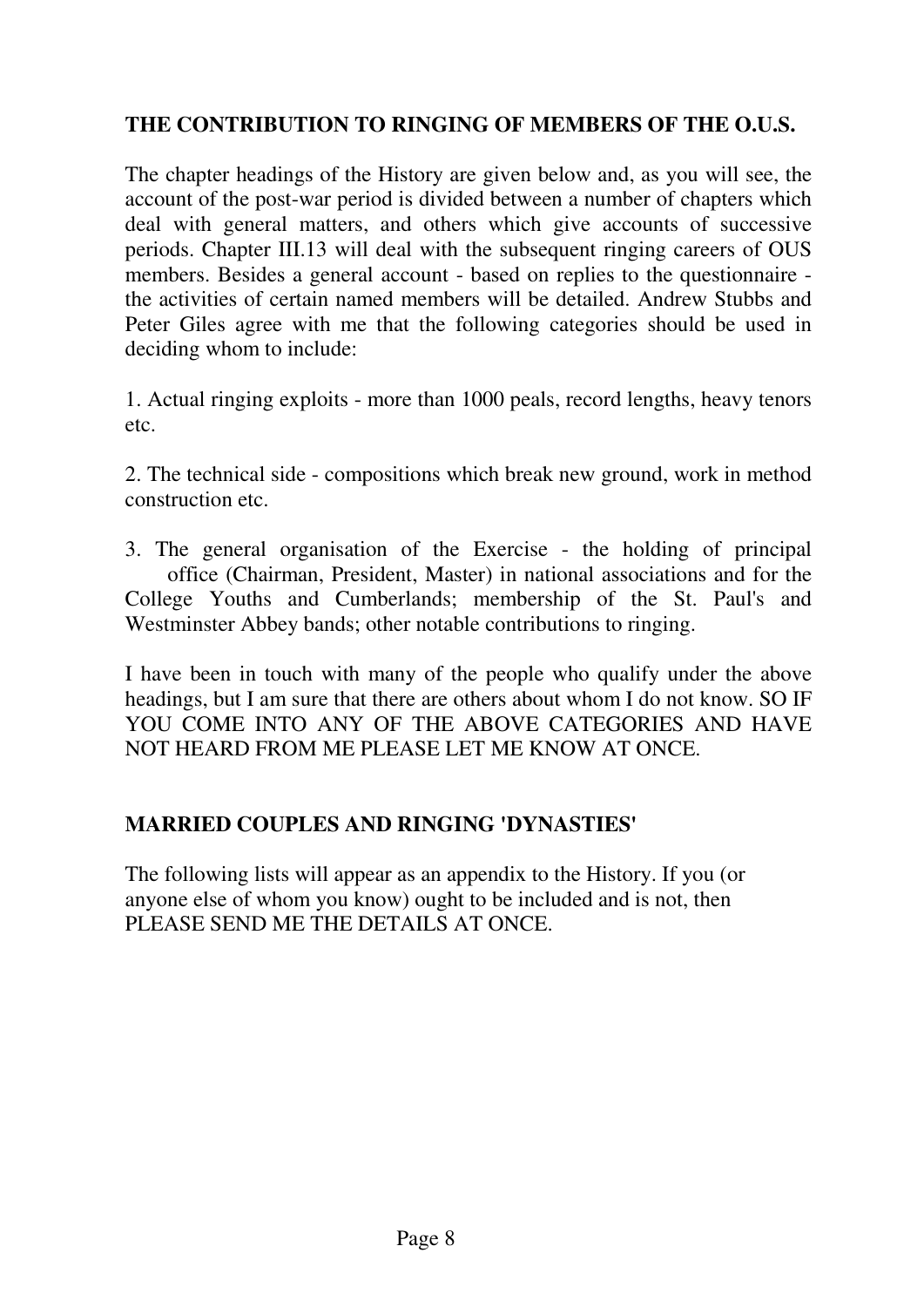## **THE CONTRIBUTION TO RINGING OF MEMBERS OF THE O.U.S.**

The chapter headings of the History are given below and, as you will see, the account of the post-war period is divided between a number of chapters which deal with general matters, and others which give accounts of successive periods. Chapter III.13 will deal with the subsequent ringing careers of OUS members. Besides a general account - based on replies to the questionnaire the activities of certain named members will be detailed. Andrew Stubbs and Peter Giles agree with me that the following categories should be used in deciding whom to include:

1. Actual ringing exploits - more than 1000 peals, record lengths, heavy tenors etc.

2. The technical side - compositions which break new ground, work in method construction etc.

3. The general organisation of the Exercise - the holding of principal office (Chairman, President, Master) in national associations and for the College Youths and Cumberlands; membership of the St. Paul's and Westminster Abbey bands; other notable contributions to ringing.

I have been in touch with many of the people who qualify under the above headings, but I am sure that there are others about whom I do not know. SO IF YOU COME INTO ANY OF THE ABOVE CATEGORIES AND HAVE NOT HEARD FROM ME PLEASE LET ME KNOW AT ONCE.

#### **MARRIED COUPLES AND RINGING 'DYNASTIES'**

The following lists will appear as an appendix to the History. If you (or anyone else of whom you know) ought to be included and is not, then PLEASE SEND ME THE DETAILS AT ONCE.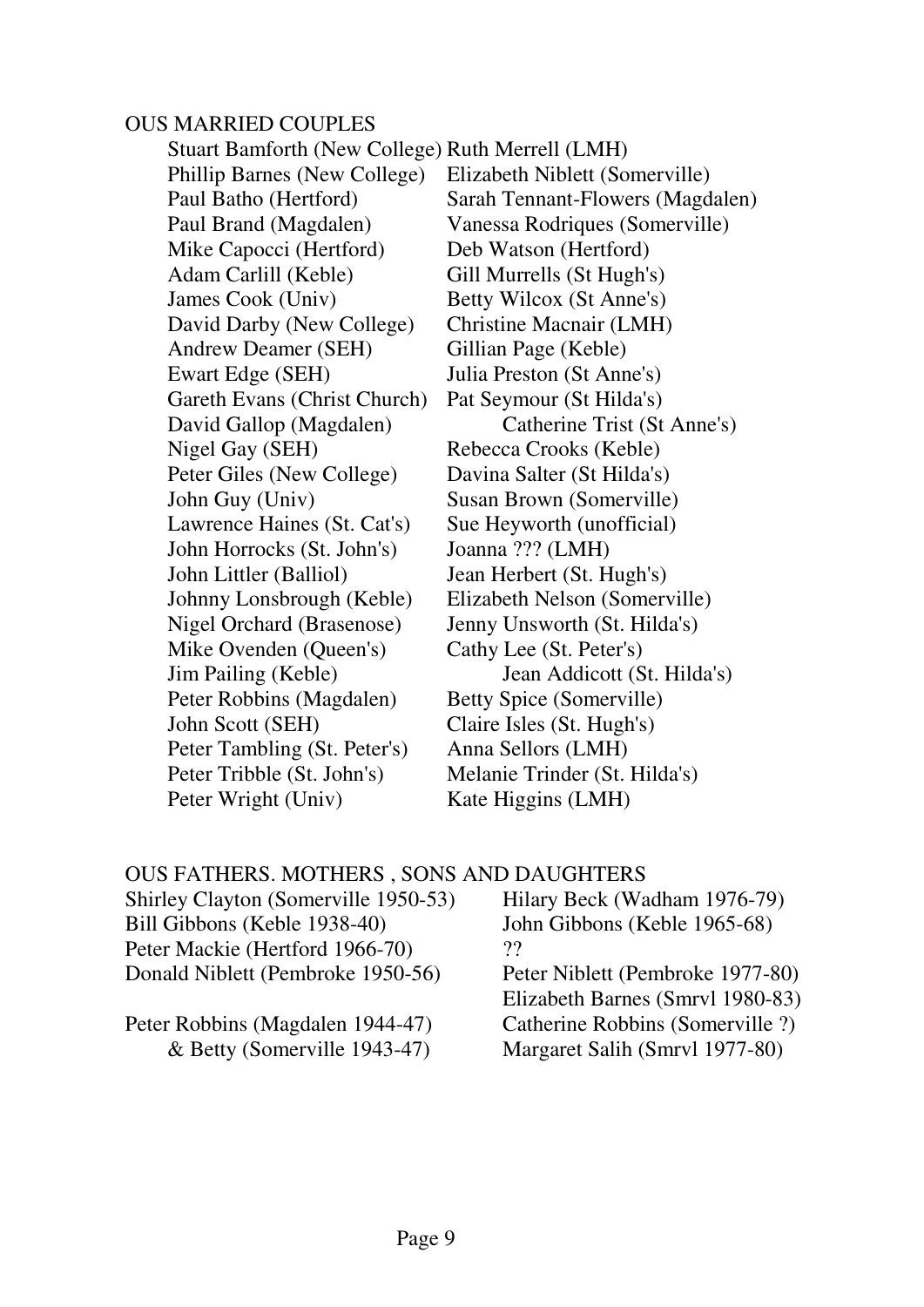#### OUS MARRIED COUPLES

 Stuart Bamforth (New College) Ruth Merrell (LMH) Phillip Barnes (New College) Elizabeth Niblett (Somerville) Paul Batho (Hertford) Sarah Tennant-Flowers (Magdalen) Paul Brand (Magdalen) Vanessa Rodriques (Somerville) Mike Capocci (Hertford) Deb Watson (Hertford) Adam Carlill (Keble) Gill Murrells (St Hugh's) James Cook (Univ) Betty Wilcox (St Anne's) David Darby (New College) Christine Macnair (LMH) Andrew Deamer (SEH) Gillian Page (Keble) Ewart Edge (SEH) Julia Preston (St Anne's) Gareth Evans (Christ Church) Pat Seymour (St Hilda's) David Gallop (Magdalen) Catherine Trist (St Anne's) Nigel Gay (SEH) Rebecca Crooks (Keble) Peter Giles (New College) Davina Salter (St Hilda's) John Guy (Univ) Susan Brown (Somerville) Lawrence Haines (St. Cat's) Sue Heyworth (unofficial) John Horrocks (St. John's) Joanna ??? (LMH) John Littler (Balliol) Jean Herbert (St. Hugh's) Johnny Lonsbrough (Keble) Elizabeth Nelson (Somerville) Nigel Orchard (Brasenose) Jenny Unsworth (St. Hilda's) Mike Ovenden (Queen's) Cathy Lee (St. Peter's) Jim Pailing (Keble) Jean Addicott (St. Hilda's) Peter Robbins (Magdalen) Betty Spice (Somerville) John Scott (SEH) Claire Isles (St. Hugh's) Peter Tambling (St. Peter's) Anna Sellors (LMH) Peter Tribble (St. John's) Melanie Trinder (St. Hilda's) Peter Wright (Univ) Kate Higgins (LMH)

#### OUS FATHERS. MOTHERS , SONS AND DAUGHTERS

| Shirley Clayton (Somerville 1950-53) | Hilary Beck (Wadham 1976-79)     |
|--------------------------------------|----------------------------------|
| Bill Gibbons (Keble 1938-40)         | John Gibbons (Keble 1965-68)     |
| Peter Mackie (Hertford 1966-70)      | 77                               |
| Donald Niblett (Pembroke 1950-56)    | Peter Niblett (Pembroke 1977-80) |
|                                      | Elizabeth Barnes (Smrvl 1980-83) |
| Peter Robbins (Magdalen 1944-47)     | Catherine Robbins (Somerville ?) |
| & Betty (Somerville 1943-47)         | Margaret Salih (Smrvl 1977-80)   |
|                                      |                                  |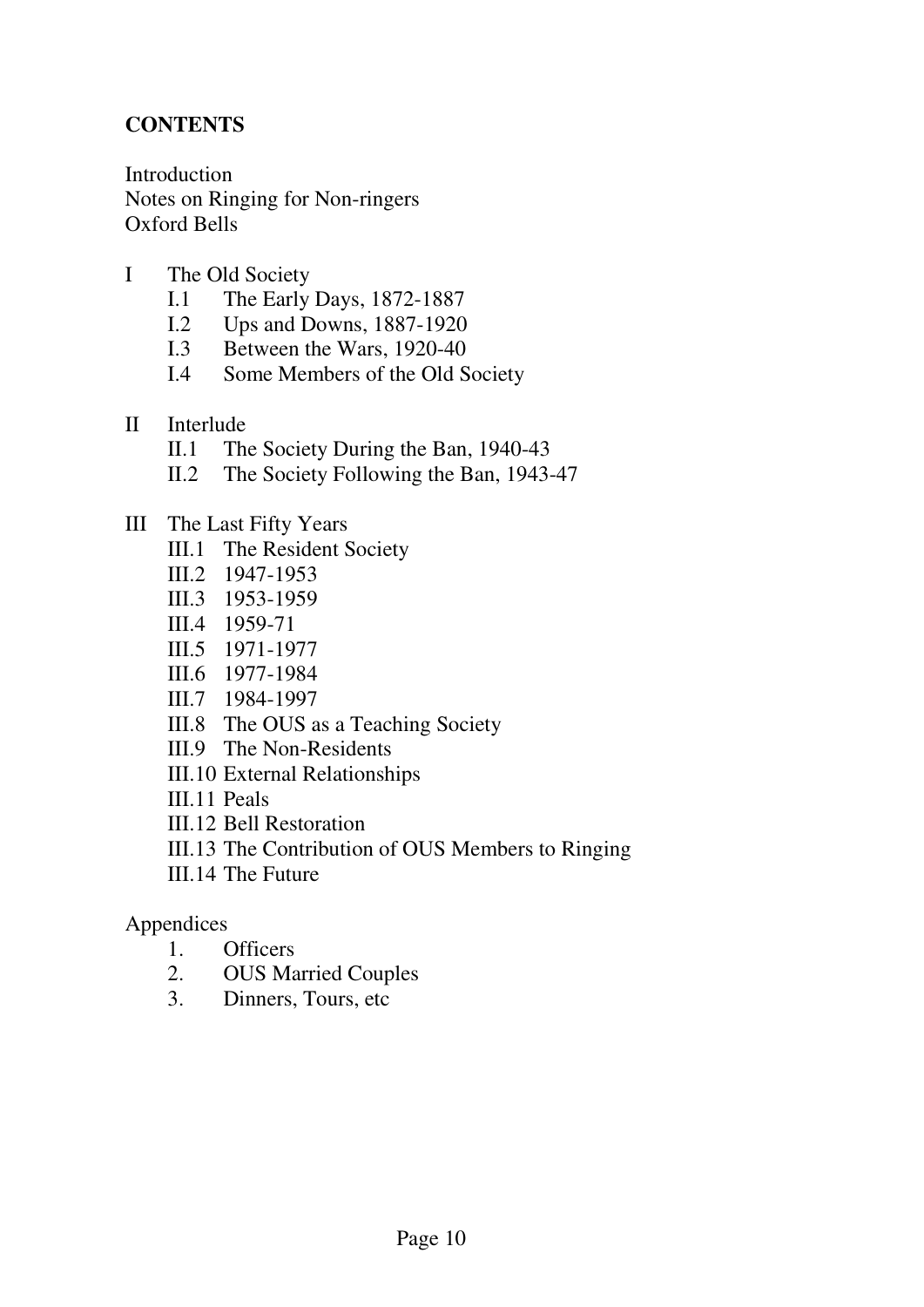### **CONTENTS**

Introduction Notes on Ringing for Non-ringers Oxford Bells

- I The Old Society
	- I.1 The Early Days, 1872-1887
	- I.2 Ups and Downs, 1887-1920
	- I.3 Between the Wars, 1920-40
	- I.4 Some Members of the Old Society
- II Interlude
	- II.1 The Society During the Ban, 1940-43
	- II.2 The Society Following the Ban, 1943-47
- III The Last Fifty Years
	- III.1 The Resident Society
	- III.2 1947-1953
	- III.3 1953-1959
	- III.4 1959-71
	- III.5 1971-1977
	- III.6 1977-1984
	- III.7 1984-1997
	- III.8 The OUS as a Teaching Society
	- III.9 The Non-Residents
	- III.10 External Relationships
	- III.11 Peals
	- III.12 Bell Restoration
	- III.13 The Contribution of OUS Members to Ringing
	- III.14 The Future

#### Appendices

- 1. Officers
- 2. OUS Married Couples
- 3. Dinners, Tours, etc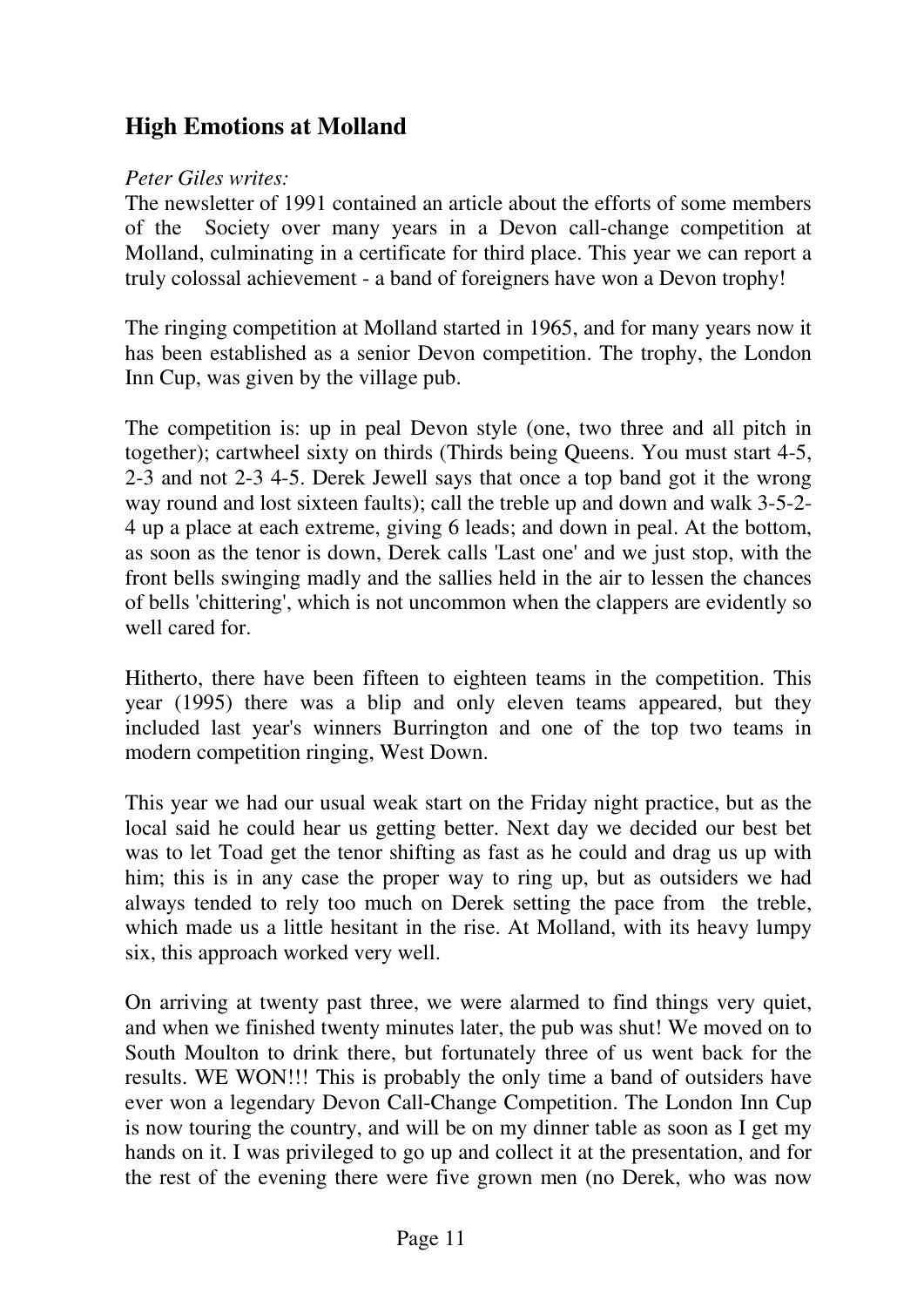# **High Emotions at Molland**

## *Peter Giles writes:*

The newsletter of 1991 contained an article about the efforts of some members of the Society over many years in a Devon call-change competition at Molland, culminating in a certificate for third place. This year we can report a truly colossal achievement - a band of foreigners have won a Devon trophy!

The ringing competition at Molland started in 1965, and for many years now it has been established as a senior Devon competition. The trophy, the London Inn Cup, was given by the village pub.

The competition is: up in peal Devon style (one, two three and all pitch in together); cartwheel sixty on thirds (Thirds being Queens. You must start 4-5, 2-3 and not 2-3 4-5. Derek Jewell says that once a top band got it the wrong way round and lost sixteen faults); call the treble up and down and walk 3-5-2- 4 up a place at each extreme, giving 6 leads; and down in peal. At the bottom, as soon as the tenor is down, Derek calls 'Last one' and we just stop, with the front bells swinging madly and the sallies held in the air to lessen the chances of bells 'chittering', which is not uncommon when the clappers are evidently so well cared for

Hitherto, there have been fifteen to eighteen teams in the competition. This year (1995) there was a blip and only eleven teams appeared, but they included last year's winners Burrington and one of the top two teams in modern competition ringing, West Down.

This year we had our usual weak start on the Friday night practice, but as the local said he could hear us getting better. Next day we decided our best bet was to let Toad get the tenor shifting as fast as he could and drag us up with him; this is in any case the proper way to ring up, but as outsiders we had always tended to rely too much on Derek setting the pace from the treble, which made us a little hesitant in the rise. At Molland, with its heavy lumpy six, this approach worked very well.

On arriving at twenty past three, we were alarmed to find things very quiet, and when we finished twenty minutes later, the pub was shut! We moved on to South Moulton to drink there, but fortunately three of us went back for the results. WE WON!!! This is probably the only time a band of outsiders have ever won a legendary Devon Call-Change Competition. The London Inn Cup is now touring the country, and will be on my dinner table as soon as I get my hands on it. I was privileged to go up and collect it at the presentation, and for the rest of the evening there were five grown men (no Derek, who was now